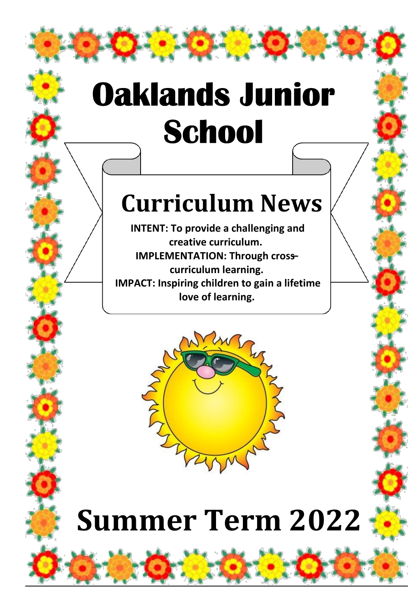# **Oaklands Junior** School

### **Curriculum News**

**INTENT: To provide a challenging and creative curriculum. IMPLEMENTATION: Through cross– curriculum learning. IMPACT: Inspiring children to gain a lifetime love of learning.** 



## **Summer Term 2022**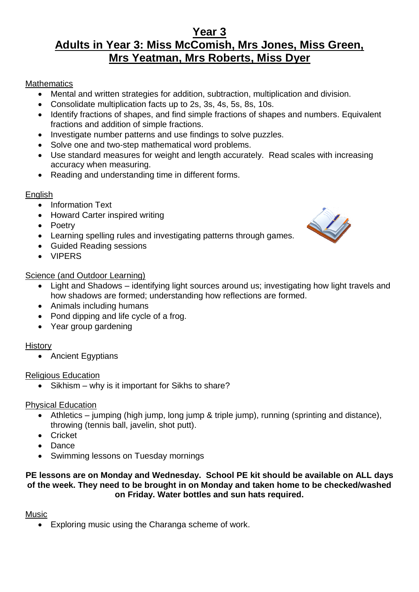#### **Year 3 Adults in Year 3: Miss McComish, Mrs Jones, Miss Green, Mrs Yeatman, Mrs Roberts, Miss Dyer**

#### **Mathematics**

- Mental and written strategies for addition, subtraction, multiplication and division.
- Consolidate multiplication facts up to 2s, 3s, 4s, 5s, 8s, 10s.
- Identify fractions of shapes, and find simple fractions of shapes and numbers. Equivalent fractions and addition of simple fractions.
- Investigate number patterns and use findings to solve puzzles.
- Solve one and two-step mathematical word problems.
- Use standard measures for weight and length accurately. Read scales with increasing accuracy when measuring.
- Reading and understanding time in different forms.

#### English

- Information Text
- Howard Carter inspired writing
- Poetry
- Learning spelling rules and investigating patterns through games.
- Guided Reading sessions
- VIPERS

#### Science (and Outdoor Learning)

- Light and Shadows identifying light sources around us; investigating how light travels and how shadows are formed; understanding how reflections are formed.
- Animals including humans
- Pond dipping and life cycle of a frog.
- Year group gardening

#### **History**

• Ancient Egyptians

#### Religious Education

• Sikhism – why is it important for Sikhs to share?

#### Physical Education

- Athletics jumping (high jump, long jump & triple jump), running (sprinting and distance), throwing (tennis ball, javelin, shot putt).
- Cricket
- **Dance**
- Swimming lessons on Tuesday mornings

#### **PE lessons are on Monday and Wednesday. School PE kit should be available on ALL days of the week. They need to be brought in on Monday and taken home to be checked/washed on Friday. Water bottles and sun hats required.**

#### Music

• Exploring music using the Charanga scheme of work.

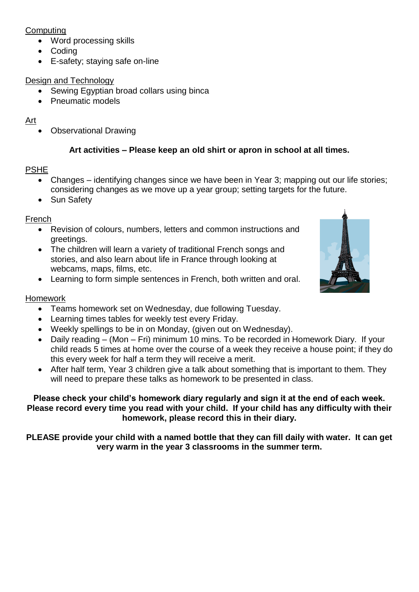#### **Computing**

- Word processing skills
- Coding
- E-safety; staying safe on-line

#### Design and Technology

- Sewing Egyptian broad collars using binca
- Pneumatic models

#### Art

• Observational Drawing

#### **Art activities – Please keep an old shirt or apron in school at all times.**

#### PSHE

- Changes identifying changes since we have been in Year 3; mapping out our life stories; considering changes as we move up a year group; setting targets for the future.
- Sun Safety

#### French

- Revision of colours, numbers, letters and common instructions and greetings.
- The children will learn a variety of traditional French songs and stories, and also learn about life in France through looking at webcams, maps, films, etc.
- Learning to form simple sentences in French, both written and oral.



#### Homework

- Teams homework set on Wednesday, due following Tuesday.
- Learning times tables for weekly test every Friday.
- Weekly spellings to be in on Monday, (given out on Wednesday).
- Daily reading (Mon Fri) minimum 10 mins. To be recorded in Homework Diary. If your child reads 5 times at home over the course of a week they receive a house point; if they do this every week for half a term they will receive a merit.
- After half term, Year 3 children give a talk about something that is important to them. They will need to prepare these talks as homework to be presented in class.

#### **Please check your child's homework diary regularly and sign it at the end of each week. Please record every time you read with your child. If your child has any difficulty with their homework, please record this in their diary.**

**PLEASE provide your child with a named bottle that they can fill daily with water. It can get very warm in the year 3 classrooms in the summer term.**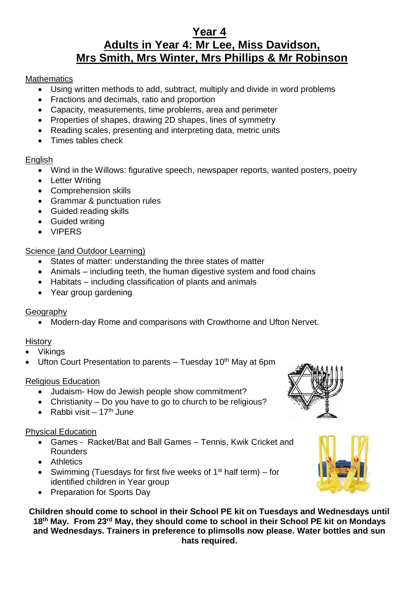#### **Year 4 Adults in Year 4: Mr Lee, Miss Davidson, Mrs Smith, Mrs Winter, Mrs Phillips & Mr Robinson**

#### **Mathematics**

- Using written methods to add, subtract, multiply and divide in word problems
- Fractions and decimals, ratio and proportion
- Capacity, measurements, time problems, area and perimeter
- Properties of shapes, drawing 2D shapes, lines of symmetry
- Reading scales, presenting and interpreting data, metric units
- Times tables check

#### English

- Wind in the Willows: figurative speech, newspaper reports, wanted posters, poetry
- Letter Writing
- Comprehension skills
- Grammar & punctuation rules
- Guided reading skills
- Guided writing
- VIPERS

#### Science (and Outdoor Learning)

- States of matter: understanding the three states of matter
- Animals including teeth, the human digestive system and food chains
- Habitats including classification of plants and animals
- Year group gardening

#### **Geography**

• Modern-day Rome and comparisons with Crowthorne and Ufton Nervet.

#### **History**

- Vikings
- Ufton Court Presentation to parents  $-$  Tuesday 10<sup>th</sup> May at 6pm

#### Religious Education

- Judaism- How do Jewish people show commitment?
- Christianity Do you have to go to church to be religious?
- Rabbi visit  $17<sup>th</sup>$  June

#### Physical Education

- Games Racket/Bat and Ball Games Tennis, Kwik Cricket and Rounders
- Athletics
- Swimming (Tuesdays for first five weeks of 1<sup>st</sup> half term) for identified children in Year group
- Preparation for Sports Day

**Children should come to school in their School PE kit on Tuesdays and Wednesdays until 18th May. From 23rd May, they should come to school in their School PE kit on Mondays and Wednesdays. Trainers in preference to plimsolls now please. Water bottles and sun hats required.**



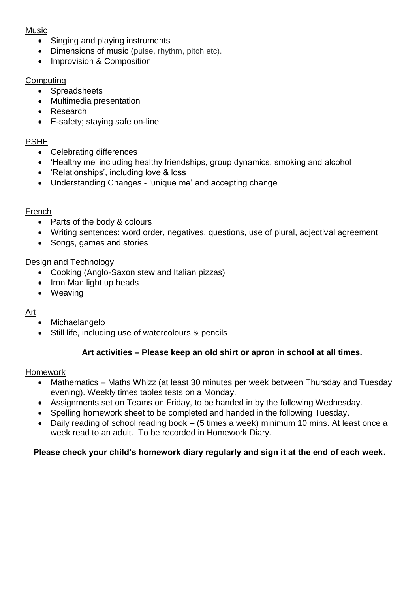#### Music

- Singing and playing instruments
- Dimensions of music (pulse, rhythm, pitch etc).
- Improvision & Composition

#### **Computing**

- Spreadsheets
- Multimedia presentation
- Research
- E-safety; staying safe on-line

#### PSHE

- Celebrating differences
- 'Healthy me' including healthy friendships, group dynamics, smoking and alcohol
- 'Relationships', including love & loss
- Understanding Changes 'unique me' and accepting change

#### French

- Parts of the body & colours
- Writing sentences: word order, negatives, questions, use of plural, adjectival agreement
- Songs, games and stories

#### Design and Technology

- Cooking (Anglo-Saxon stew and Italian pizzas)
- Iron Man light up heads
- Weaving

#### Art

- Michaelangelo
- Still life, including use of watercolours & pencils

#### **Art activities – Please keep an old shirt or apron in school at all times.**

#### Homework

- Mathematics Maths Whizz (at least 30 minutes per week between Thursday and Tuesday evening). Weekly times tables tests on a Monday.
- Assignments set on Teams on Friday, to be handed in by the following Wednesday.
- Spelling homework sheet to be completed and handed in the following Tuesday.
- Daily reading of school reading book (5 times a week) minimum 10 mins. At least once a week read to an adult. To be recorded in Homework Diary.

#### **Please check your child's homework diary regularly and sign it at the end of each week.**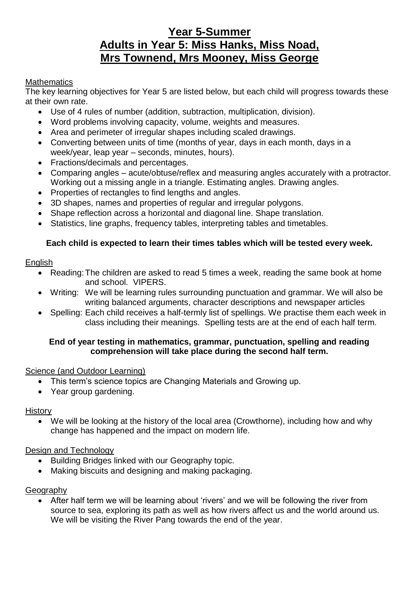#### **Year 5-Summer Adults in Year 5: Miss Hanks, Miss Noad, Mrs Townend, Mrs Mooney, Miss George**

#### **Mathematics**

The key learning objectives for Year 5 are listed below, but each child will progress towards these at their own rate.

- Use of 4 rules of number (addition, subtraction, multiplication, division).
- Word problems involving capacity, volume, weights and measures.
- Area and perimeter of irregular shapes including scaled drawings.
- Converting between units of time (months of year, days in each month, days in a week/year, leap year – seconds, minutes, hours).
- Fractions/decimals and percentages.
- Comparing angles acute/obtuse/reflex and measuring angles accurately with a protractor. Working out a missing angle in a triangle. Estimating angles. Drawing angles.
- Properties of rectangles to find lengths and angles.
- 3D shapes, names and properties of regular and irregular polygons.
- Shape reflection across a horizontal and diagonal line. Shape translation.
- Statistics, line graphs, frequency tables, interpreting tables and timetables.

#### **Each child is expected to learn their times tables which will be tested every week.**

#### **English**

- Reading: The children are asked to read 5 times a week, reading the same book at home and school. VIPERS.
- Writing: We will be learning rules surrounding punctuation and grammar. We will also be writing balanced arguments, character descriptions and newspaper articles
- Spelling: Each child receives a half-termly list of spellings. We practise them each week in class including their meanings. Spelling tests are at the end of each half term.

#### **End of year testing in mathematics, grammar, punctuation, spelling and reading comprehension will take place during the second half term.**

#### Science (and Outdoor Learning)

- This term's science topics are Changing Materials and Growing up.
- Year group gardening.

#### **History**

• We will be looking at the history of the local area (Crowthorne), including how and why change has happened and the impact on modern life.

#### Design and Technology

- Building Bridges linked with our Geography topic.
- Making biscuits and designing and making packaging.

#### Geography

• After half term we will be learning about 'rivers' and we will be following the river from source to sea, exploring its path as well as how rivers affect us and the world around us. We will be visiting the River Pang towards the end of the year.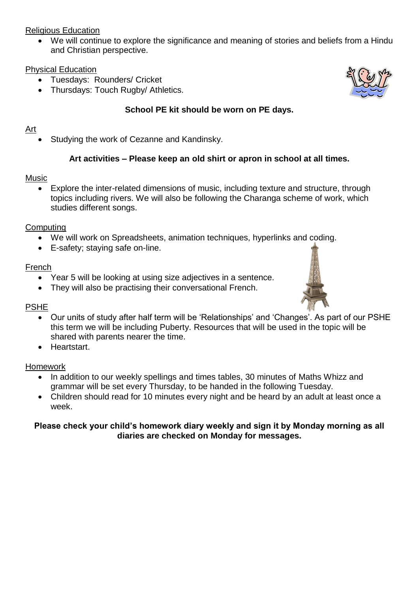#### Religious Education

• We will continue to explore the significance and meaning of stories and beliefs from a Hindu and Christian perspective.

#### Physical Education

- Tuesdays: Rounders/ Cricket
- Thursdays: Touch Rugby/ Athletics.

#### **School PE kit should be worn on PE days.**

#### Art

• Studying the work of Cezanne and Kandinsky.

#### **Art activities – Please keep an old shirt or apron in school at all times.**

#### Music

• Explore the inter-related dimensions of music, including texture and structure, through topics including rivers. We will also be following the Charanga scheme of work, which studies different songs.

#### **Computing**

- We will work on Spreadsheets, animation techniques, hyperlinks and coding.
- E-safety; staying safe on-line.

#### French

- Year 5 will be looking at using size adjectives in a sentence.
- They will also be practising their conversational French.

#### PSHE

- Our units of study after half term will be 'Relationships' and 'Changes'. As part of our PSHE this term we will be including Puberty. Resources that will be used in the topic will be shared with parents nearer the time.
- Heartstart.

#### Homework

- In addition to our weekly spellings and times tables, 30 minutes of Maths Whizz and grammar will be set every Thursday, to be handed in the following Tuesday.
- Children should read for 10 minutes every night and be heard by an adult at least once a week.

#### **Please check your child's homework diary weekly and sign it by Monday morning as all diaries are checked on Monday for messages.**



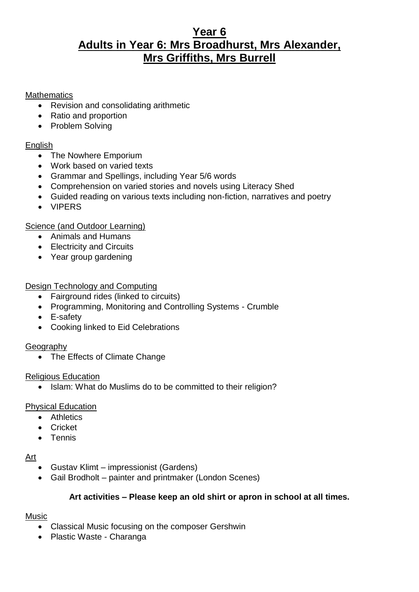#### **Year 6 Adults in Year 6: Mrs Broadhurst, Mrs Alexander, Mrs Griffiths, Mrs Burrell**

#### **Mathematics**

- Revision and consolidating arithmetic
- Ratio and proportion
- Problem Solving

#### English

- The Nowhere Emporium
- Work based on varied texts
- Grammar and Spellings, including Year 5/6 words
- Comprehension on varied stories and novels using Literacy Shed
- Guided reading on various texts including non-fiction, narratives and poetry
- VIPERS

#### Science (and Outdoor Learning)

- Animals and Humans
- Electricity and Circuits
- Year group gardening

#### Design Technology and Computing

- Fairground rides (linked to circuits)
- Programming, Monitoring and Controlling Systems Crumble
- E-safety
- Cooking linked to Eid Celebrations

#### Geography

• The Effects of Climate Change

#### Religious Education

• Islam: What do Muslims do to be committed to their religion?

#### Physical Education

- Athletics
- Cricket
- Tennis

#### Art

- Gustav Klimt impressionist (Gardens)
- Gail Brodholt painter and printmaker (London Scenes)

#### **Art activities – Please keep an old shirt or apron in school at all times.**

#### Music

- Classical Music focusing on the composer Gershwin
- Plastic Waste Charanga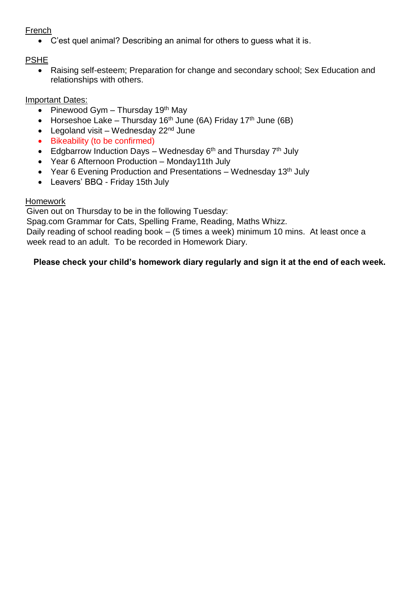#### French

• C'est quel animal? Describing an animal for others to guess what it is.

#### PSHE

• Raising self-esteem; Preparation for change and secondary school; Sex Education and relationships with others.

#### Important Dates:

- Pinewood Gym Thursday 19<sup>th</sup> May
- Horseshoe Lake Thursday 16<sup>th</sup> June (6A) Friday 17<sup>th</sup> June (6B)
- Legoland visit Wednesday  $22<sup>nd</sup>$  June
- Bikeability (to be confirmed)
- Edgbarrow Induction Days Wednesday  $6<sup>th</sup>$  and Thursday  $7<sup>th</sup>$  July
- Year 6 Afternoon Production Monday11th July
- Year 6 Evening Production and Presentations Wednesday  $13<sup>th</sup>$  July
- Leavers' BBQ Friday 15th July

#### **Homework**

Given out on Thursday to be in the following Tuesday:

Spag.com Grammar for Cats, Spelling Frame, Reading, Maths Whizz.

Daily reading of school reading book – (5 times a week) minimum 10 mins. At least once a week read to an adult. To be recorded in Homework Diary.

#### **Please check your child's homework diary regularly and sign it at the end of each week.**